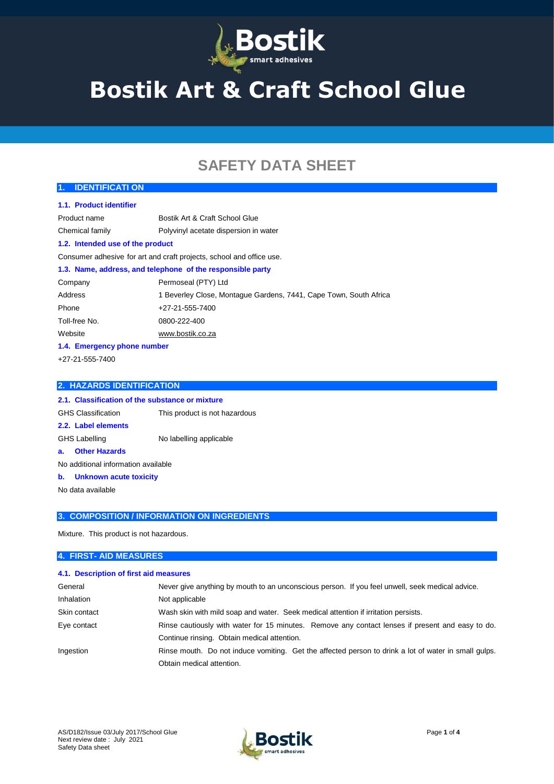

# **Bostik Art & Craft School Glue**

# **SAFETY DATA SHEET**

| <b>IDENTIFICATI ON</b><br>1 <sub>r</sub> |                                                                      |
|------------------------------------------|----------------------------------------------------------------------|
| 1.1. Product identifier                  |                                                                      |
| Product name                             | Bostik Art & Craft School Glue                                       |
| Chemical family                          | Polyvinyl acetate dispersion in water                                |
| 1.2. Intended use of the product         |                                                                      |
|                                          | Consumer adhesive for art and craft projects, school and office use. |
|                                          | 1.3. Name, address, and telephone of the responsible party           |
| Company                                  | Permoseal (PTY) Ltd                                                  |
| Address                                  | 1 Beverley Close, Montague Gardens, 7441, Cape Town, South Africa    |
| Phone                                    | +27-21-555-7400                                                      |
| Toll-free No.                            | 0800-222-400                                                         |
| Website                                  | www.bostik.co.za                                                     |
| 1.4. Emergency phone number              |                                                                      |
| +27-21-555-7400                          |                                                                      |
|                                          |                                                                      |

# **2.1. Classification of the substance or mixture** GHS Classification This product is not hazardous **2.2. Label elements** GHS Labelling No labelling applicable **a. Other Hazards** No additional information available **b. Unknown acute toxicity** No data available

**3. COMPOSITION / INFORMATION ON INGREDIENTS**

Mixture. This product is not hazardous.

**2. HAZARDS IDENTIFICATION**

#### **4. FIRST- AID MEASURES**

#### **4.1. Description of first aid measures**

| General      | Never give anything by mouth to an unconscious person. If you feel unwell, seek medical advice.      |
|--------------|------------------------------------------------------------------------------------------------------|
| Inhalation   | Not applicable                                                                                       |
| Skin contact | Wash skin with mild soap and water. Seek medical attention if irritation persists.                   |
| Eye contact  | Rinse cautiously with water for 15 minutes. Remove any contact lenses if present and easy to do.     |
|              | Continue rinsing. Obtain medical attention.                                                          |
| Ingestion    | Rinse mouth. Do not induce vomiting. Get the affected person to drink a lot of water in small quips. |
|              | Obtain medical attention.                                                                            |

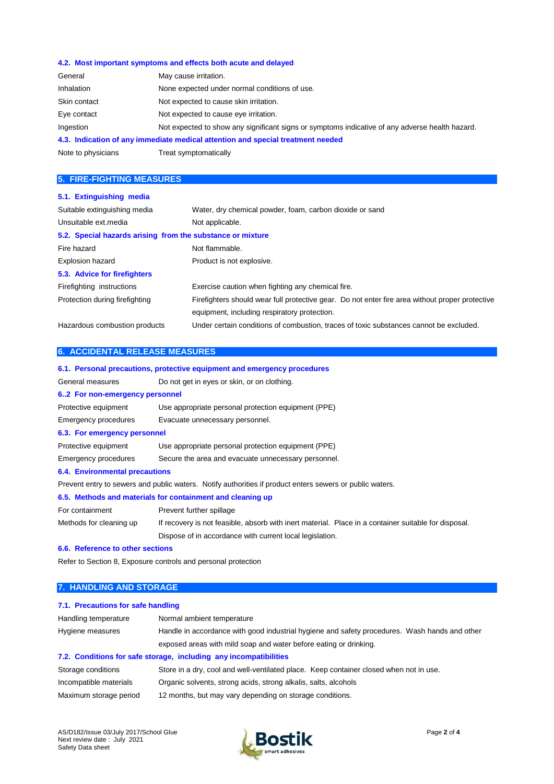#### **4.2. Most important symptoms and effects both acute and delayed**

| General            | May cause irritation.                                                                           |
|--------------------|-------------------------------------------------------------------------------------------------|
| Inhalation         | None expected under normal conditions of use.                                                   |
| Skin contact       | Not expected to cause skin irritation.                                                          |
| Eye contact        | Not expected to cause eye irritation.                                                           |
| Ingestion          | Not expected to show any significant signs or symptoms indicative of any adverse health hazard. |
|                    | 4.3. Indication of any immediate medical attention and special treatment needed                 |
| Note to physicians | Treat symptomatically                                                                           |

#### **5. FIRE-FIGHTING MEASURES**

| 5.1. Extinguishing media                                   |                                                                                                 |
|------------------------------------------------------------|-------------------------------------------------------------------------------------------------|
| Suitable extinguishing media                               | Water, dry chemical powder, foam, carbon dioxide or sand                                        |
| Unsuitable ext.media                                       | Not applicable.                                                                                 |
| 5.2. Special hazards arising from the substance or mixture |                                                                                                 |
| Fire hazard                                                | Not flammable.                                                                                  |
| <b>Explosion hazard</b>                                    | Product is not explosive.                                                                       |
| 5.3. Advice for firefighters                               |                                                                                                 |
| Firefighting instructions                                  | Exercise caution when fighting any chemical fire.                                               |
| Protection during firefighting                             | Firefighters should wear full protective gear. Do not enter fire area without proper protective |
|                                                            | equipment, including respiratory protection.                                                    |
| Hazardous combustion products                              | Under certain conditions of combustion, traces of toxic substances cannot be excluded.          |

#### **6. ACCIDENTAL RELEASE MEASURES**

|                                       | 6.1. Personal precautions, protective equipment and emergency procedures                                 |
|---------------------------------------|----------------------------------------------------------------------------------------------------------|
| General measures                      | Do not get in eyes or skin, or on clothing.                                                              |
| 62 For non-emergency personnel        |                                                                                                          |
| Protective equipment                  | Use appropriate personal protection equipment (PPE)                                                      |
| Emergency procedures                  | Evacuate unnecessary personnel.                                                                          |
| 6.3. For emergency personnel          |                                                                                                          |
| Protective equipment                  | Use appropriate personal protection equipment (PPE)                                                      |
| Emergency procedures                  | Secure the area and evacuate unnecessary personnel.                                                      |
| <b>6.4. Environmental precautions</b> |                                                                                                          |
|                                       | Prevent entry to sewers and public waters. Notify authorities if product enters sewers or public waters. |
|                                       | 6.5. Methods and materials for containment and cleaning up                                               |
| For containment                       | Prevent further spillage                                                                                 |
| Methods for cleaning up               | If recovery is not feasible, absorb with inert material. Place in a container suitable for disposal.     |
|                                       | Dispose of in accordance with current local legislation.                                                 |
| 6.6. Reference to other sections      |                                                                                                          |
|                                       |                                                                                                          |

Refer to Section 8, Exposure controls and personal protection

#### **7. HANDLING AND STORAGE**

## **7.1. Precautions for safe handling** Handling temperature Normal ambient temperature Hygiene measures **Handle in accordance with good industrial hygiene and safety procedures.** Wash hands and other exposed areas with mild soap and water before eating or drinking. **7.2. Conditions for safe storage, including any incompatibilities**

| Storage conditions     | Store in a dry, cool and well-ventilated place. Keep container closed when not in use. |
|------------------------|----------------------------------------------------------------------------------------|
| Incompatible materials | Organic solvents, strong acids, strong alkalis, salts, alcohols                        |
| Maximum storage period | 12 months, but may vary depending on storage conditions.                               |

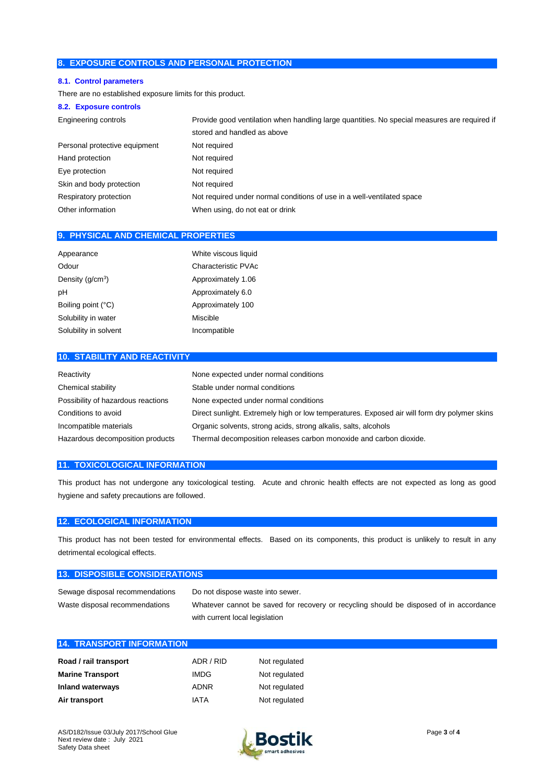#### **8. EXPOSURE CONTROLS AND PERSONAL PROTECTION**

#### **8.1. Control parameters**

There are no established exposure limits for this product.

#### **8.2. Exposure controls**

| Engineering controls          | Provide good ventilation when handling large quantities. No special measures are required if |
|-------------------------------|----------------------------------------------------------------------------------------------|
|                               | stored and handled as above                                                                  |
| Personal protective equipment | Not required                                                                                 |
| Hand protection               | Not required                                                                                 |
| Eye protection                | Not required                                                                                 |
| Skin and body protection      | Not required                                                                                 |
| Respiratory protection        | Not required under normal conditions of use in a well-ventilated space                       |
| Other information             | When using, do not eat or drink                                                              |
|                               |                                                                                              |

#### **9. PHYSICAL AND CHEMICAL PROPERTIES**

| Appearance            | White viscous liquid |
|-----------------------|----------------------|
| Odour                 | Characteristic PVAc  |
| Density $(q/cm^3)$    | Approximately 1.06   |
| pH                    | Approximately 6.0    |
| Boiling point (°C)    | Approximately 100    |
| Solubility in water   | Miscible             |
| Solubility in solvent | Incompatible         |

#### **10. STABILITY AND REACTIVITY**

| Reactivity                         | None expected under normal conditions                                                        |
|------------------------------------|----------------------------------------------------------------------------------------------|
| Chemical stability                 | Stable under normal conditions                                                               |
| Possibility of hazardous reactions | None expected under normal conditions                                                        |
| Conditions to avoid                | Direct sunlight. Extremely high or low temperatures. Exposed air will form dry polymer skins |
| Incompatible materials             | Organic solvents, strong acids, strong alkalis, salts, alcohols                              |
| Hazardous decomposition products   | Thermal decomposition releases carbon monoxide and carbon dioxide.                           |

#### **11. TOXICOLOGICAL INFORMATION**

This product has not undergone any toxicological testing. Acute and chronic health effects are not expected as long as good hygiene and safety precautions are followed.

### **12. ECOLOGICAL INFORMATION**

This product has not been tested for environmental effects. Based on its components, this product is unlikely to result in any detrimental ecological effects.

#### **13. DISPOSIBLE CONSIDERATIONS**

| Sewage disposal recommendations | Do not dispose waste into sewer.                                                       |
|---------------------------------|----------------------------------------------------------------------------------------|
| Waste disposal recommendations  | Whatever cannot be saved for recovery or recycling should be disposed of in accordance |
|                                 | with current local legislation                                                         |

| <b>14. TRANSPORT INFORMATION</b> |             |               |  |
|----------------------------------|-------------|---------------|--|
|                                  |             |               |  |
| Road / rail transport            | ADR / RID   | Not regulated |  |
| <b>Marine Transport</b>          | <b>IMDG</b> | Not regulated |  |
| <b>Inland waterways</b>          | <b>ADNR</b> | Not regulated |  |
| Air transport                    | IATA        | Not regulated |  |